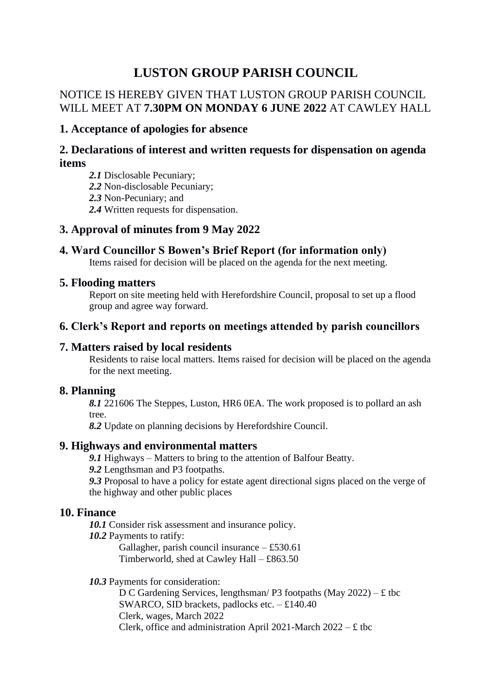# **LUSTON GROUP PARISH COUNCIL**

# NOTICE IS HEREBY GIVEN THAT LUSTON GROUP PARISH COUNCIL WILL MEET AT **7.30PM ON MONDAY 6 JUNE 2022** AT CAWLEY HALL

#### **1. Acceptance of apologies for absence**

## **2. Declarations of interest and written requests for dispensation on agenda items**

*2.1* Disclosable Pecuniary;

*2.2* Non-disclosable Pecuniary;

*2.3* Non-Pecuniary; and

*2.4* Written requests for dispensation.

# **3. Approval of minutes from 9 May 2022**

# **4. Ward Councillor S Bowen's Brief Report (for information only)**

Items raised for decision will be placed on the agenda for the next meeting.

#### **5. Flooding matters**

Report on site meeting held with Herefordshire Council, proposal to set up a flood group and agree way forward.

## **6. Clerk's Report and reports on meetings attended by parish councillors**

## **7. Matters raised by local residents**

Residents to raise local matters. Items raised for decision will be placed on the agenda for the next meeting.

#### **8. Planning**

*8.1* 221606 The Steppes, Luston, HR6 0EA. The work proposed is to pollard an ash tree.

*8.2* Update on planning decisions by Herefordshire Council.

#### **9. Highways and environmental matters**

*9.1* Highways – Matters to bring to the attention of Balfour Beatty.

*9.2* Lengthsman and P3 footpaths.

*9.3* Proposal to have a policy for estate agent directional signs placed on the verge of the highway and other public places

#### **10. Finance**

10.1 Consider risk assessment and insurance policy.

*10.2* Payments to ratify:

Gallagher, parish council insurance – £530.61 Timberworld, shed at Cawley Hall – £863.50

*10.3* Payments for consideration:

D C Gardening Services, lengthsman/ P3 footpaths (May 2022) –  $\pounds$  tbc SWARCO, SID brackets, padlocks etc.  $-$ £140.40 Clerk, wages, March 2022 Clerk, office and administration April 2021-March  $2022 - \text{\textsterling}$  tbc